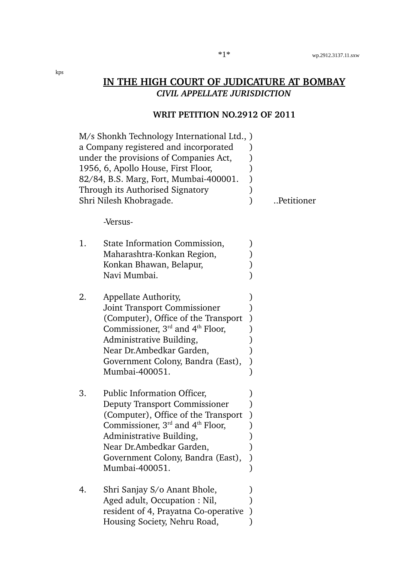### **WRIT PETITION NO.2912 OF 2011**

|    | M/s Shonkh Technology International Ltd., )<br>a Company registered and incorporated<br>under the provisions of Companies Act,<br>1956, 6, Apollo House, First Floor,<br>82/84, B.S. Marg, Fort, Mumbai-400001.<br>Through its Authorised Signatory<br>Shri Nilesh Khobragade. | Petitioner |
|----|--------------------------------------------------------------------------------------------------------------------------------------------------------------------------------------------------------------------------------------------------------------------------------|------------|
|    | -Versus-                                                                                                                                                                                                                                                                       |            |
| 1. | State Information Commission,<br>Maharashtra-Konkan Region,<br>Konkan Bhawan, Belapur,<br>Navi Mumbai.                                                                                                                                                                         |            |
| 2. | Appellate Authority,<br>Joint Transport Commissioner<br>(Computer), Office of the Transport<br>Commissioner, $3rd$ and $4th$ Floor,<br>Administrative Building,<br>Near Dr.Ambedkar Garden,<br>Government Colony, Bandra (East),<br>Mumbai-400051.                             |            |
| 3. | Public Information Officer,<br><b>Deputy Transport Commissioner</b><br>(Computer), Office of the Transport<br>Commissioner, $3rd$ and $4th$ Floor,<br>Administrative Building,<br>Near Dr.Ambedkar Garden,<br>Government Colony, Bandra (East),<br>Mumbai-400051.              |            |
| 4. | Shri Sanjay S/o Anant Bhole,<br>Aged adult, Occupation : Nil,<br>resident of 4, Prayatna Co-operative<br>Housing Society, Nehru Road,                                                                                                                                          |            |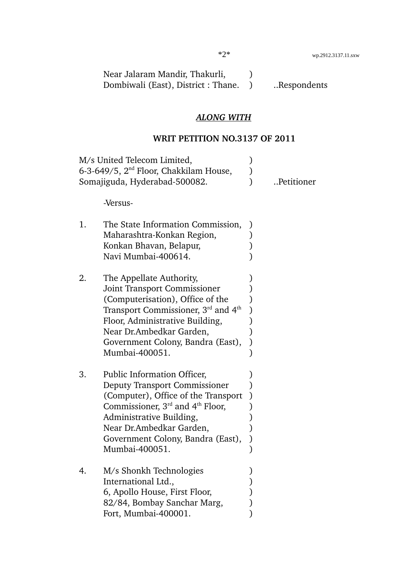| Near Jalaram Mandir, Thakurli,      |             |
|-------------------------------------|-------------|
| Dombiwali (East), District : Thane. | Respondents |

# *ALONG WITH*

# **WRIT PETITION NO.3137 OF 2011**

|    | M/s United Telecom Limited,<br>6-3-649/5, $2nd$ Floor, Chakkilam House,<br>Somajiguda, Hyderabad-500082.                                                                                                                                                             | Petitioner |
|----|----------------------------------------------------------------------------------------------------------------------------------------------------------------------------------------------------------------------------------------------------------------------|------------|
|    | -Versus-                                                                                                                                                                                                                                                             |            |
| 1. | The State Information Commission,<br>Maharashtra-Konkan Region,<br>Konkan Bhavan, Belapur,<br>Navi Mumbai-400614.                                                                                                                                                    |            |
| 2. | The Appellate Authority,<br><b>Joint Transport Commissioner</b><br>(Computerisation), Office of the<br>Transport Commissioner, $3rd$ and $4th$<br>Floor, Administrative Building,<br>Near Dr.Ambedkar Garden,<br>Government Colony, Bandra (East),<br>Mumbai-400051. |            |
| 3. | <b>Public Information Officer,</b><br>Deputy Transport Commissioner<br>(Computer), Office of the Transport<br>Commissioner, $3rd$ and $4th$ Floor,<br>Administrative Building,<br>Near Dr.Ambedkar Garden,<br>Government Colony, Bandra (East),<br>Mumbai-400051.    |            |
| 4. | M/s Shonkh Technologies<br>International Ltd.,<br>6, Apollo House, First Floor,<br>82/84, Bombay Sanchar Marg,<br>Fort, Mumbai-400001.                                                                                                                               |            |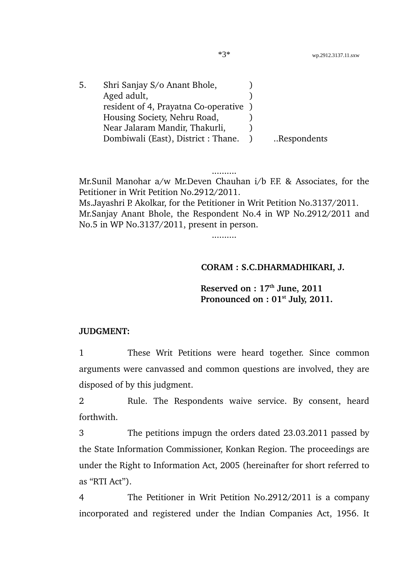| 5. | Shri Sanjay S/o Anant Bhole,         |             |
|----|--------------------------------------|-------------|
|    | Aged adult,                          |             |
|    | resident of 4, Prayatna Co-operative |             |
|    | Housing Society, Nehru Road,         |             |
|    | Near Jalaram Mandir, Thakurli,       |             |
|    | Dombiwali (East), District: Thane.   | Respondents |

Mr.Sunil Manohar a/w Mr.Deven Chauhan i/b F.F. & Associates, for the Petitioner in Writ Petition No.2912/2011.

..........

Ms.Jayashri P. Akolkar, for the Petitioner in Writ Petition No.3137/2011. Mr.Sanjay Anant Bhole, the Respondent No.4 in WP No.2912/2011 and No.5 in WP No.3137/2011, present in person.

..........

### **CORAM : S.C.DHARMADHIKARI, J.**

**Reserved on : 17th June, 2011 Pronounced on : 01st July, 2011.**

#### **JUDGMENT:**

1 These Writ Petitions were heard together. Since common arguments were canvassed and common questions are involved, they are disposed of by this judgment.

2 Rule. The Respondents waive service. By consent, heard forthwith.

3 The petitions impugn the orders dated 23.03.2011 passed by the State Information Commissioner, Konkan Region. The proceedings are under the Right to Information Act, 2005 (hereinafter for short referred to as "RTI Act").

4 The Petitioner in Writ Petition No.2912/2011 is a company incorporated and registered under the Indian Companies Act, 1956. It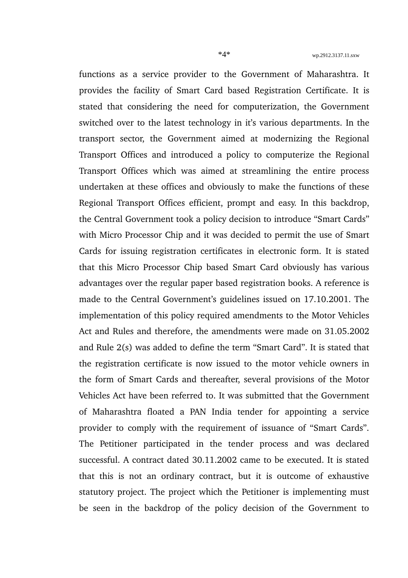functions as a service provider to the Government of Maharashtra. It provides the facility of Smart Card based Registration Certificate. It is stated that considering the need for computerization, the Government switched over to the latest technology in it's various departments. In the transport sector, the Government aimed at modernizing the Regional Transport Offices and introduced a policy to computerize the Regional Transport Offices which was aimed at streamlining the entire process undertaken at these offices and obviously to make the functions of these Regional Transport Offices efficient, prompt and easy. In this backdrop, the Central Government took a policy decision to introduce "Smart Cards" with Micro Processor Chip and it was decided to permit the use of Smart Cards for issuing registration certificates in electronic form. It is stated that this Micro Processor Chip based Smart Card obviously has various advantages over the regular paper based registration books. A reference is made to the Central Government's guidelines issued on 17.10.2001. The implementation of this policy required amendments to the Motor Vehicles Act and Rules and therefore, the amendments were made on 31.05.2002 and Rule 2(s) was added to define the term "Smart Card". It is stated that the registration certificate is now issued to the motor vehicle owners in the form of Smart Cards and thereafter, several provisions of the Motor Vehicles Act have been referred to. It was submitted that the Government of Maharashtra floated a PAN India tender for appointing a service provider to comply with the requirement of issuance of "Smart Cards". The Petitioner participated in the tender process and was declared successful. A contract dated 30.11.2002 came to be executed. It is stated that this is not an ordinary contract, but it is outcome of exhaustive statutory project. The project which the Petitioner is implementing must be seen in the backdrop of the policy decision of the Government to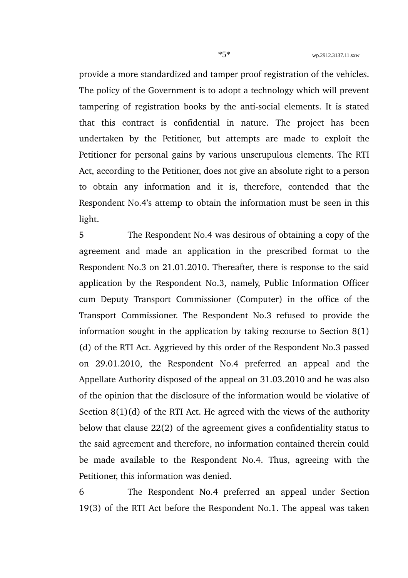provide a more standardized and tamper proof registration of the vehicles. The policy of the Government is to adopt a technology which will prevent tampering of registration books by the anti-social elements. It is stated that this contract is confidential in nature. The project has been undertaken by the Petitioner, but attempts are made to exploit the Petitioner for personal gains by various unscrupulous elements. The RTI Act, according to the Petitioner, does not give an absolute right to a person to obtain any information and it is, therefore, contended that the Respondent No.4's attemp to obtain the information must be seen in this light.

5 The Respondent No.4 was desirous of obtaining a copy of the agreement and made an application in the prescribed format to the Respondent No.3 on 21.01.2010. Thereafter, there is response to the said application by the Respondent No.3, namely, Public Information Officer cum Deputy Transport Commissioner (Computer) in the office of the Transport Commissioner. The Respondent No.3 refused to provide the information sought in the application by taking recourse to Section 8(1) (d) of the RTI Act. Aggrieved by this order of the Respondent No.3 passed on 29.01.2010, the Respondent No.4 preferred an appeal and the Appellate Authority disposed of the appeal on 31.03.2010 and he was also of the opinion that the disclosure of the information would be violative of Section 8(1)(d) of the RTI Act. He agreed with the views of the authority below that clause 22(2) of the agreement gives a confidentiality status to the said agreement and therefore, no information contained therein could be made available to the Respondent No.4. Thus, agreeing with the Petitioner, this information was denied.

6 The Respondent No.4 preferred an appeal under Section 19(3) of the RTI Act before the Respondent No.1. The appeal was taken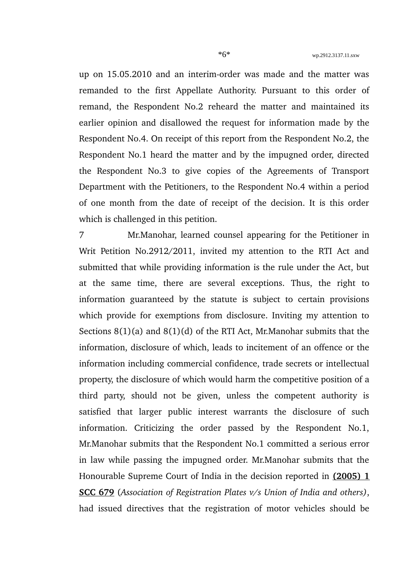up on 15.05.2010 and an interim-order was made and the matter was remanded to the first Appellate Authority. Pursuant to this order of remand, the Respondent No.2 reheard the matter and maintained its earlier opinion and disallowed the request for information made by the Respondent No.4. On receipt of this report from the Respondent No.2, the Respondent No.1 heard the matter and by the impugned order, directed the Respondent No.3 to give copies of the Agreements of Transport Department with the Petitioners, to the Respondent No.4 within a period of one month from the date of receipt of the decision. It is this order which is challenged in this petition.

7 Mr.Manohar, learned counsel appearing for the Petitioner in Writ Petition No.2912/2011, invited my attention to the RTI Act and submitted that while providing information is the rule under the Act, but at the same time, there are several exceptions. Thus, the right to information guaranteed by the statute is subject to certain provisions which provide for exemptions from disclosure. Inviting my attention to Sections 8(1)(a) and 8(1)(d) of the RTI Act, Mr.Manohar submits that the information, disclosure of which, leads to incitement of an offence or the information including commercial confidence, trade secrets or intellectual property, the disclosure of which would harm the competitive position of a third party, should not be given, unless the competent authority is satisfied that larger public interest warrants the disclosure of such information. Criticizing the order passed by the Respondent No.1, Mr.Manohar submits that the Respondent No.1 committed a serious error in law while passing the impugned order. Mr.Manohar submits that the Honourable Supreme Court of India in the decision reported in **(2005) 1 SCC 679** (*Association of Registration Plates v/s Union of India and others)*, had issued directives that the registration of motor vehicles should be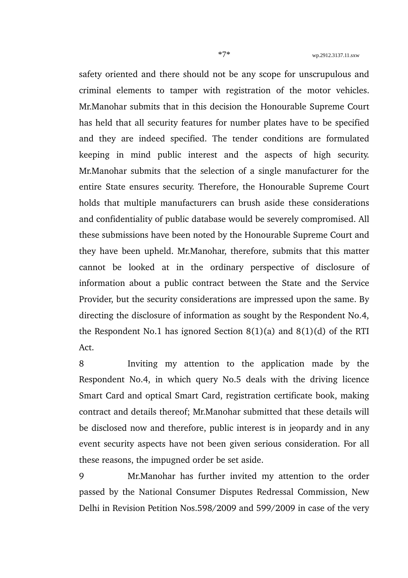safety oriented and there should not be any scope for unscrupulous and criminal elements to tamper with registration of the motor vehicles. Mr.Manohar submits that in this decision the Honourable Supreme Court has held that all security features for number plates have to be specified and they are indeed specified. The tender conditions are formulated keeping in mind public interest and the aspects of high security. Mr.Manohar submits that the selection of a single manufacturer for the entire State ensures security. Therefore, the Honourable Supreme Court holds that multiple manufacturers can brush aside these considerations and confidentiality of public database would be severely compromised. All these submissions have been noted by the Honourable Supreme Court and they have been upheld. Mr.Manohar, therefore, submits that this matter cannot be looked at in the ordinary perspective of disclosure of information about a public contract between the State and the Service Provider, but the security considerations are impressed upon the same. By directing the disclosure of information as sought by the Respondent No.4, the Respondent No.1 has ignored Section  $8(1)(a)$  and  $8(1)(d)$  of the RTI Act.

8 Inviting my attention to the application made by the Respondent No.4, in which query No.5 deals with the driving licence Smart Card and optical Smart Card, registration certificate book, making contract and details thereof; Mr.Manohar submitted that these details will be disclosed now and therefore, public interest is in jeopardy and in any event security aspects have not been given serious consideration. For all these reasons, the impugned order be set aside.

9 Mr.Manohar has further invited my attention to the order passed by the National Consumer Disputes Redressal Commission, New Delhi in Revision Petition Nos.598/2009 and 599/2009 in case of the very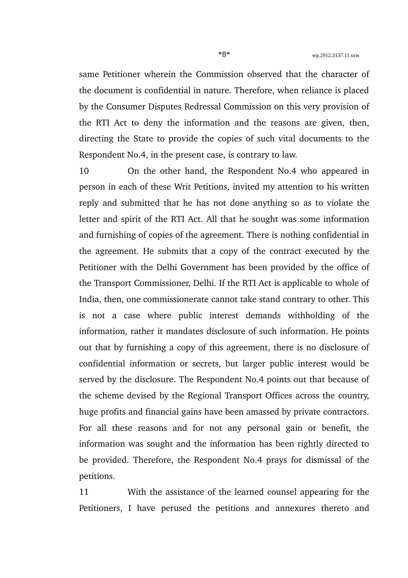same Petitioner wherein the Commission observed that the character of the document is confidential in nature. Therefore, when reliance is placed by the Consumer Disputes Redressal Commission on this very provision of the RTI Act to deny the information and the reasons are given, then, directing the State to provide the copies of such vital documents to the Respondent No.4, in the present case, is contrary to law.

10 On the other hand, the Respondent No.4 who appeared in person in each of these Writ Petitions, invited my attention to his written reply and submitted that he has not done anything so as to violate the letter and spirit of the RTI Act. All that he sought was some information and furnishing of copies of the agreement. There is nothing confidential in the agreement. He submits that a copy of the contract executed by the Petitioner with the Delhi Government has been provided by the office of the Transport Commissioner, Delhi. If the RTI Act is applicable to whole of India, then, one commissionerate cannot take stand contrary to other. This is not a case where public interest demands withholding of the information, rather it mandates disclosure of such information. He points out that by furnishing a copy of this agreement, there is no disclosure of confidential information or secrets, but larger public interest would be served by the disclosure. The Respondent No.4 points out that because of the scheme devised by the Regional Transport Offices across the country, huge profits and financial gains have been amassed by private contractors. For all these reasons and for not any personal gain or benefit, the information was sought and the information has been rightly directed to be provided. Therefore, the Respondent No.4 prays for dismissal of the petitions.

11 With the assistance of the learned counsel appearing for the Petitioners, I have perused the petitions and annexures thereto and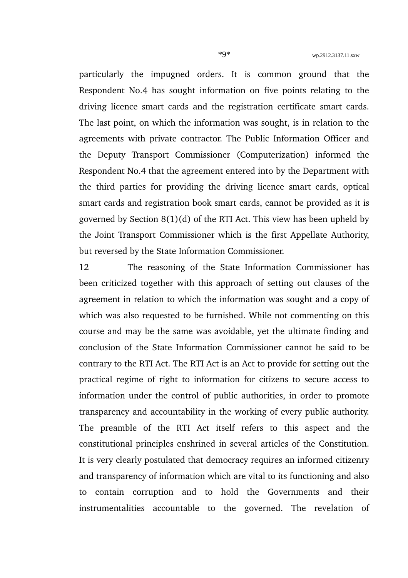particularly the impugned orders. It is common ground that the Respondent No.4 has sought information on five points relating to the driving licence smart cards and the registration certificate smart cards. The last point, on which the information was sought, is in relation to the agreements with private contractor. The Public Information Officer and the Deputy Transport Commissioner (Computerization) informed the Respondent No.4 that the agreement entered into by the Department with the third parties for providing the driving licence smart cards, optical smart cards and registration book smart cards, cannot be provided as it is governed by Section 8(1)(d) of the RTI Act. This view has been upheld by the Joint Transport Commissioner which is the first Appellate Authority, but reversed by the State Information Commissioner.

12 The reasoning of the State Information Commissioner has been criticized together with this approach of setting out clauses of the agreement in relation to which the information was sought and a copy of which was also requested to be furnished. While not commenting on this course and may be the same was avoidable, yet the ultimate finding and conclusion of the State Information Commissioner cannot be said to be contrary to the RTI Act. The RTI Act is an Act to provide for setting out the practical regime of right to information for citizens to secure access to information under the control of public authorities, in order to promote transparency and accountability in the working of every public authority. The preamble of the RTI Act itself refers to this aspect and the constitutional principles enshrined in several articles of the Constitution. It is very clearly postulated that democracy requires an informed citizenry and transparency of information which are vital to its functioning and also to contain corruption and to hold the Governments and their instrumentalities accountable to the governed. The revelation of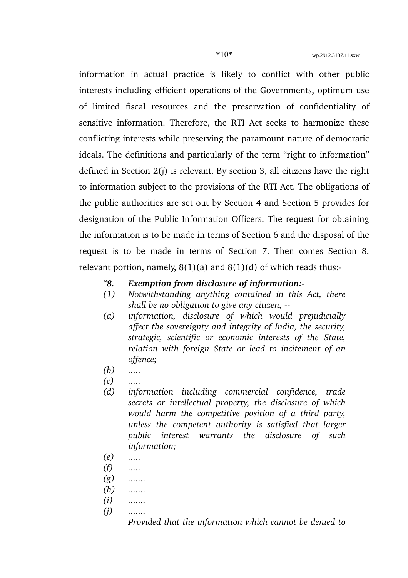information in actual practice is likely to conflict with other public interests including efficient operations of the Governments, optimum use of limited fiscal resources and the preservation of confidentiality of sensitive information. Therefore, the RTI Act seeks to harmonize these conflicting interests while preserving the paramount nature of democratic ideals. The definitions and particularly of the term "right to information" defined in Section 2(j) is relevant. By section 3, all citizens have the right to information subject to the provisions of the RTI Act. The obligations of the public authorities are set out by Section 4 and Section 5 provides for designation of the Public Information Officers. The request for obtaining the information is to be made in terms of Section 6 and the disposal of the request is to be made in terms of Section 7. Then comes Section 8, relevant portion, namely,  $8(1)(a)$  and  $8(1)(d)$  of which reads thus:-

#### *"8. Exemption from disclosure of information:*

- *(1) Notwithstanding anything contained in this Act, there shall be no obligation to give any citizen,*
- *(a) information, disclosure of which would prejudicially affect the sovereignty and integrity of India, the security, strategic, scientific or economic interests of the State, relation with foreign State or lead to incitement of an offence;*
- *(b) .....*
- *(c) .....*
- *(d) information including commercial confidence, trade secrets or intellectual property, the disclosure of which would harm the competitive position of a third party, unless the competent authority is satisfied that larger public interest warrants the disclosure of such information;*
- *(e) .....*
- *(f) .....*
- *(g) .......*
- *(h) .......*
- *(i) .......*
- *(j) .......*

*Provided that the information which cannot be denied to*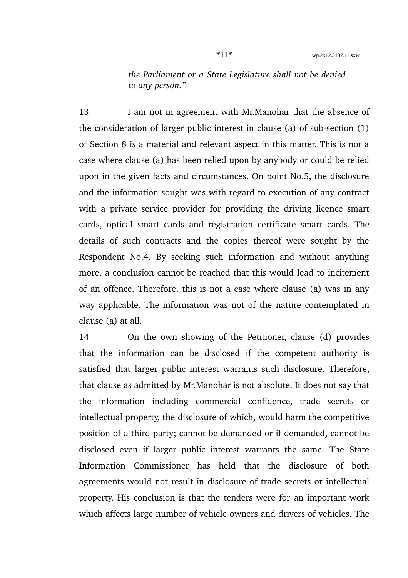*the Parliament or a State Legislature shall not be denied to any person."*

13 I am not in agreement with Mr.Manohar that the absence of the consideration of larger public interest in clause (a) of sub-section  $(1)$ of Section 8 is a material and relevant aspect in this matter. This is not a case where clause (a) has been relied upon by anybody or could be relied upon in the given facts and circumstances. On point No.5, the disclosure and the information sought was with regard to execution of any contract with a private service provider for providing the driving licence smart cards, optical smart cards and registration certificate smart cards. The details of such contracts and the copies thereof were sought by the Respondent No.4. By seeking such information and without anything more, a conclusion cannot be reached that this would lead to incitement of an offence. Therefore, this is not a case where clause (a) was in any way applicable. The information was not of the nature contemplated in clause (a) at all.

14 On the own showing of the Petitioner, clause (d) provides that the information can be disclosed if the competent authority is satisfied that larger public interest warrants such disclosure. Therefore, that clause as admitted by Mr.Manohar is not absolute. It does not say that the information including commercial confidence, trade secrets or intellectual property, the disclosure of which, would harm the competitive position of a third party; cannot be demanded or if demanded, cannot be disclosed even if larger public interest warrants the same. The State Information Commissioner has held that the disclosure of both agreements would not result in disclosure of trade secrets or intellectual property. His conclusion is that the tenders were for an important work which affects large number of vehicle owners and drivers of vehicles. The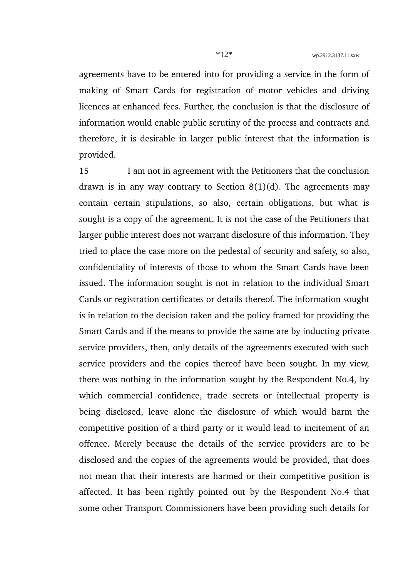agreements have to be entered into for providing a service in the form of making of Smart Cards for registration of motor vehicles and driving licences at enhanced fees. Further, the conclusion is that the disclosure of information would enable public scrutiny of the process and contracts and therefore, it is desirable in larger public interest that the information is provided.

15 I am not in agreement with the Petitioners that the conclusion drawn is in any way contrary to Section  $8(1)(d)$ . The agreements may contain certain stipulations, so also, certain obligations, but what is sought is a copy of the agreement. It is not the case of the Petitioners that larger public interest does not warrant disclosure of this information. They tried to place the case more on the pedestal of security and safety, so also, confidentiality of interests of those to whom the Smart Cards have been issued. The information sought is not in relation to the individual Smart Cards or registration certificates or details thereof. The information sought is in relation to the decision taken and the policy framed for providing the Smart Cards and if the means to provide the same are by inducting private service providers, then, only details of the agreements executed with such service providers and the copies thereof have been sought. In my view, there was nothing in the information sought by the Respondent No.4, by which commercial confidence, trade secrets or intellectual property is being disclosed, leave alone the disclosure of which would harm the competitive position of a third party or it would lead to incitement of an offence. Merely because the details of the service providers are to be disclosed and the copies of the agreements would be provided, that does not mean that their interests are harmed or their competitive position is affected. It has been rightly pointed out by the Respondent No.4 that some other Transport Commissioners have been providing such details for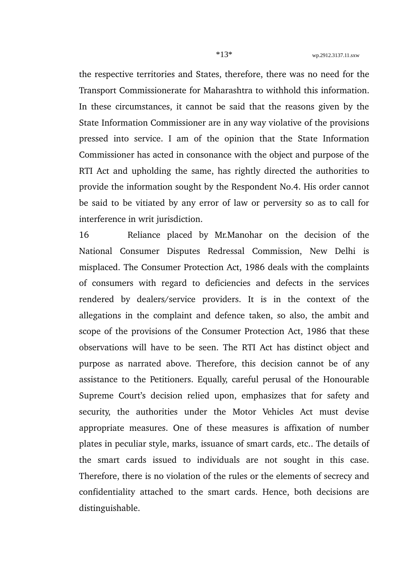the respective territories and States, therefore, there was no need for the Transport Commissionerate for Maharashtra to withhold this information. In these circumstances, it cannot be said that the reasons given by the State Information Commissioner are in any way violative of the provisions pressed into service. I am of the opinion that the State Information Commissioner has acted in consonance with the object and purpose of the RTI Act and upholding the same, has rightly directed the authorities to provide the information sought by the Respondent No.4. His order cannot be said to be vitiated by any error of law or perversity so as to call for interference in writ jurisdiction.

16 Reliance placed by Mr.Manohar on the decision of the National Consumer Disputes Redressal Commission, New Delhi is misplaced. The Consumer Protection Act, 1986 deals with the complaints of consumers with regard to deficiencies and defects in the services rendered by dealers/service providers. It is in the context of the allegations in the complaint and defence taken, so also, the ambit and scope of the provisions of the Consumer Protection Act, 1986 that these observations will have to be seen. The RTI Act has distinct object and purpose as narrated above. Therefore, this decision cannot be of any assistance to the Petitioners. Equally, careful perusal of the Honourable Supreme Court's decision relied upon, emphasizes that for safety and security, the authorities under the Motor Vehicles Act must devise appropriate measures. One of these measures is affixation of number plates in peculiar style, marks, issuance of smart cards, etc.. The details of the smart cards issued to individuals are not sought in this case. Therefore, there is no violation of the rules or the elements of secrecy and confidentiality attached to the smart cards. Hence, both decisions are distinguishable.